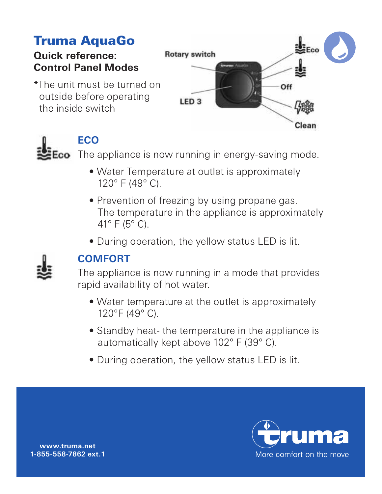# Truma AquaGo

### **Quick reference: Control Panel Modes**

\*The unit must be turned on outside before operating the inside switch





## **ECO**

**Eco** The appliance is now running in energy-saving mode.

- Water Temperature at outlet is approximately 120° F (49° C).
- Prevention of freezing by using propane gas. The temperature in the appliance is approximately 41 $\degree$  F (5 $\degree$  C).
- During operation, the yellow status LED is lit.



## **COMFORT**

The appliance is now running in a mode that provides rapid availability of hot water.

- Water temperature at the outlet is approximately 120°F (49° C).
- Standby heat- the temperature in the appliance is automatically kept above 102° F (39° C).
- During operation, the yellow status LED is lit.



**www.truma.net 1-855-558-7862 ext. 1**